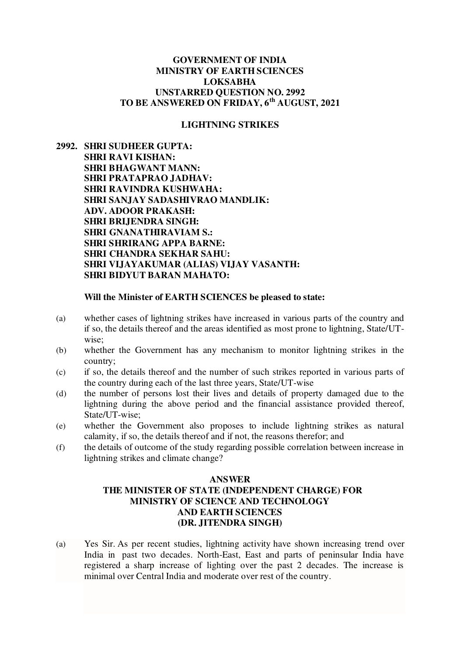#### **GOVERNMENT OF INDIA MINISTRY OF EARTH SCIENCES LOKSABHA UNSTARRED QUESTION NO. 2992 TO BE ANSWERED ON FRIDAY, 6th AUGUST, 2021**

#### **LIGHTNING STRIKES**

**2992. SHRI SUDHEER GUPTA: SHRI RAVI KISHAN: SHRI BHAGWANT MANN: SHRI PRATAPRAO JADHAV: SHRI RAVINDRA KUSHWAHA: SHRI SANJAY SADASHIVRAO MANDLIK: ADV. ADOOR PRAKASH: SHRI BRIJENDRA SINGH: SHRI GNANATHIRAVIAM S.: SHRI SHRIRANG APPA BARNE: SHRI CHANDRA SEKHAR SAHU: SHRI VIJAYAKUMAR (ALIAS) VIJAY VASANTH: SHRI BIDYUT BARAN MAHATO:** 

#### **Will the Minister of EARTH SCIENCES be pleased to state:**

- (a) whether cases of lightning strikes have increased in various parts of the country and if so, the details thereof and the areas identified as most prone to lightning, State/UTwise;
- (b) whether the Government has any mechanism to monitor lightning strikes in the country;
- (c) if so, the details thereof and the number of such strikes reported in various parts of the country during each of the last three years, State/UT-wise
- (d) the number of persons lost their lives and details of property damaged due to the lightning during the above period and the financial assistance provided thereof, State/UT-wise;
- (e) whether the Government also proposes to include lightning strikes as natural calamity, if so, the details thereof and if not, the reasons therefor; and
- (f) the details of outcome of the study regarding possible correlation between increase in lightning strikes and climate change?

#### **ANSWER THE MINISTER OF STATE (INDEPENDENT CHARGE) FOR MINISTRY OF SCIENCE AND TECHNOLOGY AND EARTH SCIENCES (DR. JITENDRA SINGH)**

(a) Yes Sir. As per recent studies, lightning activity have shown increasing trend over India in past two decades. North-East, East and parts of peninsular India have registered a sharp increase of lighting over the past 2 decades. The increase is minimal over Central India and moderate over rest of the country.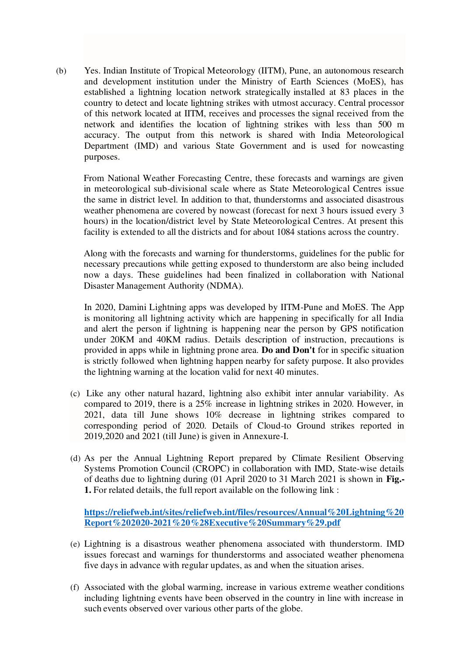(b) Yes. Indian Institute of Tropical Meteorology (IITM), Pune, an autonomous research and development institution under the Ministry of Earth Sciences (MoES), has established a lightning location network strategically installed at 83 places in the country to detect and locate lightning strikes with utmost accuracy. Central processor of this network located at IITM, receives and processes the signal received from the network and identifies the location of lightning strikes with less than 500 m accuracy. The output from this network is shared with India Meteorological Department (IMD) and various State Government and is used for nowcasting purposes.

From National Weather Forecasting Centre, these forecasts and warnings are given in meteorological sub-divisional scale where as State Meteorological Centres issue the same in district level. In addition to that, thunderstorms and associated disastrous weather phenomena are covered by nowcast (forecast for next 3 hours issued every 3 hours) in the location/district level by State Meteorological Centres. At present this facility is extended to all the districts and for about 1084 stations across the country.

Along with the forecasts and warning for thunderstorms, guidelines for the public for necessary precautions while getting exposed to thunderstorm are also being included now a days. These guidelines had been finalized in collaboration with National Disaster Management Authority (NDMA).

In 2020, Damini Lightning apps was developed by IITM-Pune and MoES. The App is monitoring all lightning activity which are happening in specifically for all India and alert the person if lightning is happening near the person by GPS notification under 20KM and 40KM radius. Details description of instruction, precautions is provided in apps while in lightning prone area. **Do and Don't** for in specific situation is strictly followed when lightning happen nearby for safety purpose. It also provides the lightning warning at the location valid for next 40 minutes.

- (c) Like any other natural hazard, lightning also exhibit inter annular variability. As compared to 2019, there is a 25% increase in lightning strikes in 2020. However, in 2021, data till June shows 10% decrease in lightning strikes compared to corresponding period of 2020. Details of Cloud-to Ground strikes reported in 2019,2020 and 2021 (till June) is given in Annexure-I.
- (d) As per the Annual Lightning Report prepared by Climate Resilient Observing Systems Promotion Council (CROPC) in collaboration with IMD, State-wise details of deaths due to lightning during (01 April 2020 to 31 March 2021 is shown in **Fig.- 1.** For related details, the full report available on the following link :

**[https://reliefweb.int/sites/reliefweb.int/files/resources/Annual%20Lightning%20](https://reliefweb.int/sites/reliefweb.int/files/resources/Annual%20Lightning%20Report%202020-2021%20%28Executive%20Summary%29.pdf) [Report%202020-2021%20%28Executive%20Summary%29.pdf](https://reliefweb.int/sites/reliefweb.int/files/resources/Annual%20Lightning%20Report%202020-2021%20%28Executive%20Summary%29.pdf)** 

- (e) Lightning is a disastrous weather phenomena associated with thunderstorm. IMD issues forecast and warnings for thunderstorms and associated weather phenomena five days in advance with regular updates, as and when the situation arises.
- (f) Associated with the global warming, increase in various extreme weather conditions including lightning events have been observed in the country in line with increase in such events observed over various other parts of the globe.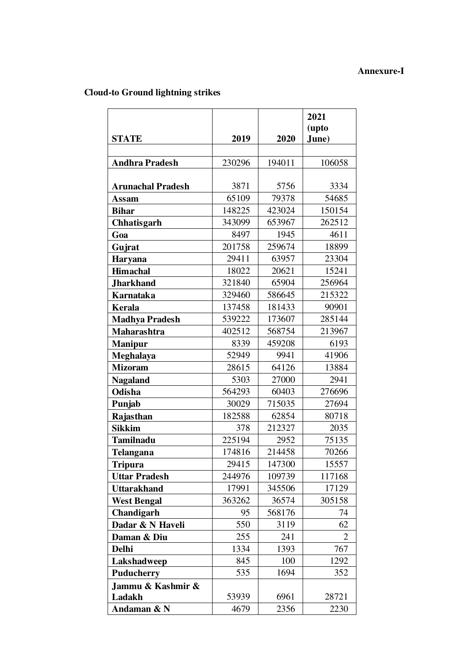### **Annexure-I**

# **Cloud-to Ground lightning strikes**

|                          |        |        | 2021   |
|--------------------------|--------|--------|--------|
|                          |        |        | (upto  |
| <b>STATE</b>             | 2019   | 2020   | June)  |
|                          | 230296 | 194011 | 106058 |
| <b>Andhra Pradesh</b>    |        |        |        |
| <b>Arunachal Pradesh</b> | 3871   | 5756   | 3334   |
| Assam                    | 65109  | 79378  | 54685  |
| <b>Bihar</b>             | 148225 | 423024 | 150154 |
| Chhatisgarh              | 343099 | 653967 | 262512 |
| Goa                      | 8497   | 1945   | 4611   |
| Gujrat                   | 201758 | 259674 | 18899  |
| <b>Haryana</b>           | 29411  | 63957  | 23304  |
| <b>Himachal</b>          | 18022  | 20621  | 15241  |
| <b>Jharkhand</b>         | 321840 | 65904  | 256964 |
| <b>Karnataka</b>         | 329460 | 586645 | 215322 |
| <b>Kerala</b>            | 137458 | 181433 | 90901  |
| <b>Madhya Pradesh</b>    | 539222 | 173607 | 285144 |
| <b>Maharashtra</b>       | 402512 | 568754 | 213967 |
| <b>Manipur</b>           | 8339   | 459208 | 6193   |
| Meghalaya                | 52949  | 9941   | 41906  |
| <b>Mizoram</b>           | 28615  | 64126  | 13884  |
| <b>Nagaland</b>          | 5303   | 27000  | 2941   |
| Odisha                   | 564293 | 60403  | 276696 |
| Punjab                   | 30029  | 715035 | 27694  |
| Rajasthan                | 182588 | 62854  | 80718  |
| <b>Sikkim</b>            | 378    | 212327 | 2035   |
| Tamilnadu                | 225194 | 2952   | 75135  |
| Telangana                | 174816 | 214458 | 70266  |
| <b>Tripura</b>           | 29415  | 147300 | 15557  |
| <b>Uttar Pradesh</b>     | 244976 | 109739 | 117168 |
| <b>Uttarakhand</b>       | 17991  | 345506 | 17129  |
| <b>West Bengal</b>       | 363262 | 36574  | 305158 |
| Chandigarh               | 95     | 568176 | 74     |
| Dadar & N Haveli         | 550    | 3119   | 62     |
| Daman & Diu              | 255    | 241    | 2      |
| <b>Delhi</b>             | 1334   | 1393   | 767    |
| Lakshadweep              | 845    | 100    | 1292   |
| <b>Puducherry</b>        | 535    | 1694   | 352    |
| Jammu & Kashmir &        |        |        |        |
| Ladakh                   | 53939  | 6961   | 28721  |
| Andaman & N              | 4679   | 2356   | 2230   |